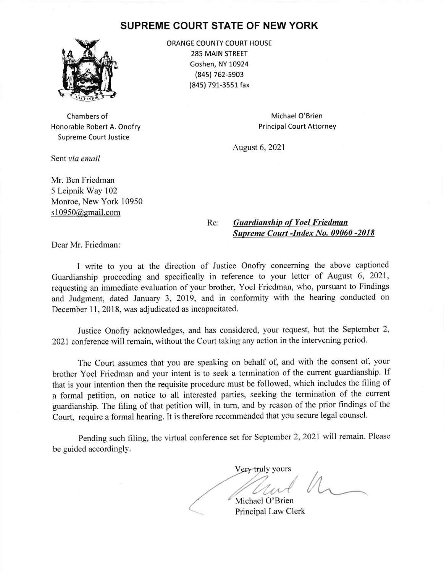## SUPREME COURT STATE OF NEW YORK



ORANGE COUNTY COURT HOUSE 285 MAIN STREET Goshen, NY 10924 (845) 762-5903 (84s) 791-3551 fax

Chambers of Honorable Robert A. Onofry Supreme Court Justice

Michael O'Brien Principal Court Attorney

August 6, 2021

Sent via email

Mr. Ben Friedman 5 Leipnik Way 102 Monroe, New York 10950 s10950@gmail.com

## Re: Guardianship of Yoel Friedman Suoreme Court -Index No. 09060 -2018

Dear Mr. Friedman:

I write to you at the direction of Justice Onofry concerning the above captioned Guardianship proceeding and specifically in reference to your letter of August 6, 2021, requesting an immediate evaluation of your brother, Yoel Friedman, who, pursuant to Findings and Judgment, dated January 3, 2019, and in conformity with the hearing conducted on December 11, 2018, was adjudicated as incapacitated.

Justice Onofry acknowledges, and has considered, your request, but the September 2, 2021 conference will remain, without the Court taking any action in the intervening period.

The Court assumes that you are speaking on behalf of, and with the consent of, your brother Yoel Friedman and your intent is to seek a termination of the current guardianship. If that is your intention then the requisite procedure must be followed, which includes the filing of a formal petition, on notice to all interested parties, seeking the termination of the current guardianship. The filing of that petition will, in turn, and by reason of the prior findings of the Court, require a formal hearing. It is therefore recommended that you secure legal counsel.

Pending such filing, the virtual conference set for September 2,2021 will remain. Please be guided accordingly.

Very truly yours Un Michael O'Brien  $M$ 

Principal Law Clerk